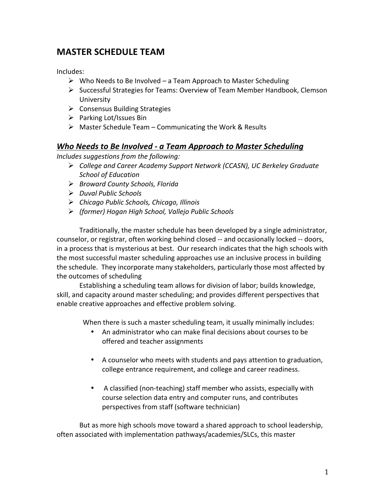# **MASTER'SCHEDULE'TEAM'**

Includes:

- $\triangleright$  Who Needs to Be Involved a Team Approach to Master Scheduling
- $\triangleright$  Successful Strategies for Teams: Overview of Team Member Handbook, Clemson University\*
- $\triangleright$  Consensus Building Strategies
- $\triangleright$  Parking Lot/Issues Bin
- $\triangleright$  Master Schedule Team Communicating the Work & Results

### *Who Needs to Be Involved - a Team Approach to Master Scheduling*

*Includes suggestions from the following:* 

- *College)and)Career)Academy)Support)Network)(CCASN),)UC)Berkeley)Graduate) School)of)Education*
- *Broward)County)Schools,)Florida*
- *Duval)Public)Schools*
- *Chicago)Public)Schools,)Chicago,)Illinois*
- *(former))Hogan)High)School,)Vallejo)Public)Schools*

Traditionally, the master schedule has been developed by a single administrator, counselor, or registrar, often working behind closed -- and occasionally locked -- doors, in a process that is mysterious at best. Our research indicates that the high schools with the most successful master scheduling approaches use an inclusive process in building the schedule. They incorporate many stakeholders, particularly those most affected by the outcomes of scheduling

Establishing a scheduling team allows for division of labor; builds knowledge, skill, and capacity around master scheduling; and provides different perspectives that enable creative approaches and effective problem solving.

When there is such a master scheduling team, it usually minimally includes:

- An administrator who can make final decisions about courses to be offered and teacher assignments
- A counselor who meets with students and pays attention to graduation, college entrance requirement, and college and career readiness.
- A classified (non-teaching) staff member who assists, especially with course selection data entry and computer runs, and contributes perspectives from staff (software technician)

But as more high schools move toward a shared approach to school leadership, often associated with implementation pathways/academies/SLCs, this master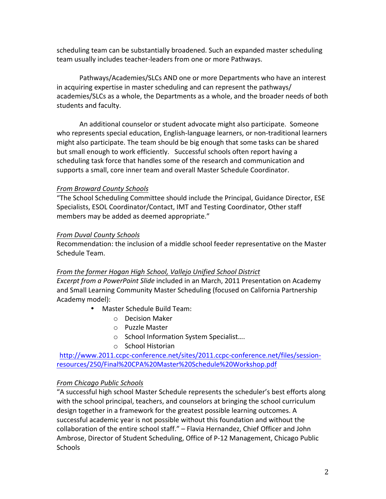scheduling team can be substantially broadened. Such an expanded master scheduling team usually includes teacher-leaders from one or more Pathways.

Pathways/Academies/SLCs AND one or more Departments who have an interest in acquiring expertise in master scheduling and can represent the pathways/ academies/SLCs as a whole, the Departments as a whole, and the broader needs of both students and faculty.

An additional counselor or student advocate might also participate. Someone who represents special education, English-language learners, or non-traditional learners might also participate. The team should be big enough that some tasks can be shared but small enough to work efficiently. Successful schools often report having a scheduling task force that handles some of the research and communication and supports a small, core inner team and overall Master Schedule Coordinator.

### **From Broward County Schools**

"The School Scheduling Committee should include the Principal, Guidance Director, ESE Specialists, ESOL Coordinator/Contact, IMT and Testing Coordinator, Other staff members may be added as deemed appropriate."

### **From Duval County Schools**

Recommendation: the inclusion of a middle school feeder representative on the Master Schedule Team.

### From the former Hogan High School, Vallejo Unified School District

*Excerpt from a PowerPoint Slide* included in an March, 2011 Presentation on Academy and Small Learning Community Master Scheduling (focused on California Partnership Academy model):

- Master Schedule Build Team:
	- $\circ$  Decision Maker
	- $\circ$  Puzzle Master
	- o School Information System Specialist....
	- $\circ$  School Historian

http://www.2011.ccpc-conference.net/sites/2011.ccpc-conference.net/files/sessionresources/250/Final%20CPA%20Master%20Schedule%20Workshop.pdf

### **From Chicago Public Schools**

"A successful high school Master Schedule represents the scheduler's best efforts along with the school principal, teachers, and counselors at bringing the school curriculum design together in a framework for the greatest possible learning outcomes. A successful academic year is not possible without this foundation and without the collaboration of the entire school staff." – Flavia Hernandez, Chief Officer and John Ambrose, Director of Student Scheduling, Office of P-12 Management, Chicago Public **Schools**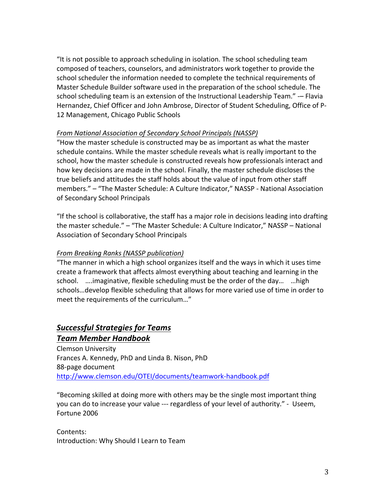"It is not possible to approach scheduling in isolation. The school scheduling team composed of teachers, counselors, and administrators work together to provide the school scheduler the information needed to complete the technical requirements of Master Schedule Builder software used in the preparation of the school schedule. The school scheduling team is an extension of the Instructional Leadership Team." -- Flavia Hernandez, Chief Officer and John Ambrose, Director of Student Scheduling, Office of P-12 Management, Chicago Public Schools

### From National Association of Secondary School Principals (NASSP)

"How the master schedule is constructed may be as important as what the master schedule contains. While the master schedule reveals what is really important to the school, how the master schedule is constructed reveals how professionals interact and how key decisions are made in the school. Finally, the master schedule discloses the true beliefs and attitudes the staff holds about the value of input from other staff members." - "The Master Schedule: A Culture Indicator," NASSP - National Association of Secondary School Principals

"If the school is collaborative, the staff has a major role in decisions leading into drafting the master schedule." – "The Master Schedule: A Culture Indicator," NASSP – National Association of Secondary School Principals

### **From Breaking Ranks (NASSP publication)**

"The manner in which a high school organizes itself and the ways in which it uses time create a framework that affects almost everything about teaching and learning in the school.  $\ldots$ imaginative, flexible scheduling must be the order of the day...  $\ldots$ high schools...develop flexible scheduling that allows for more varied use of time in order to meet the requirements of the curriculum..."

### **Successful Strategies for Teams** *Team\$Member\$Handbook*

Clemson University Frances A. Kennedy, PhD and Linda B. Nison, PhD 88-page document http://www.clemson.edu/OTEI/documents/teamwork-handbook.pdf

"Becoming skilled at doing more with others may be the single most important thing you can do to increase your value --- regardless of your level of authority." - Useem, Fortune 2006

Contents: Introduction: Why Should I Learn to Team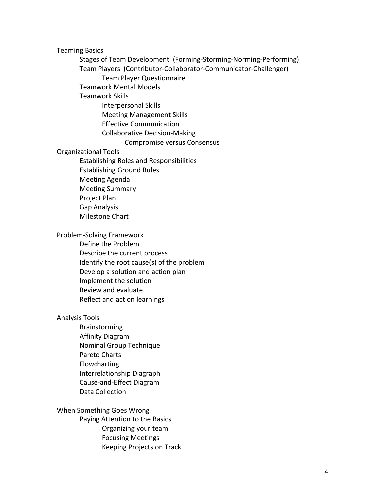**Teaming Basics** 

Stages of Team Development (Forming-Storming-Norming-Performing) Team Players (Contributor-Collaborator-Communicator-Challenger) Team Player Questionnaire Teamwork Mental Models Teamwork Skills Interpersonal Skills Meeting Management Skills Effective Communication Collaborative Decision-Making Compromise versus Consensus Organizational Tools Establishing Roles and Responsibilities Establishing Ground Rules **Meeting Agenda Meeting Summary** Project Plan Gap Analysis Milestone Chart Problem-Solving Framework Define the Problem Describe the current process Identify the root cause(s) of the problem Develop a solution and action plan Implement the solution Review and evaluate Reflect and act on learnings Analysis Tools Brainstorming

Affinity Diagram Nominal Group Technique Pareto Charts Flowcharting Interrelationship Diagraph Cause-and-Effect Diagram Data Collection

#### When Something Goes Wrong

Paying Attention to the Basics Organizing your team

- Focusing Meetings
- Keeping Projects on Track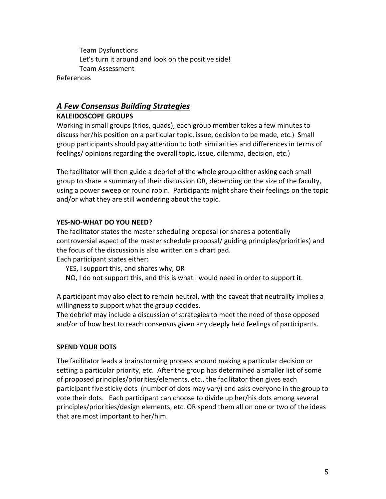**Team Dysfunctions** Let's turn it around and look on the positive side! **Team Assessment** 

**References** 

### A Few Consensus Building Strategies **KALEIDOSCOPE GROUPS**

Working in small groups (trios, quads), each group member takes a few minutes to discuss her/his position on a particular topic, issue, decision to be made, etc.) Small group participants should pay attention to both similarities and differences in terms of feelings/opinions regarding the overall topic, issue, dilemma, decision, etc.)

The facilitator will then guide a debrief of the whole group either asking each small group to share a summary of their discussion OR, depending on the size of the faculty, using a power sweep or round robin. Participants might share their feelings on the topic and/or what they are still wondering about the topic.

### YES-NO-WHAT DO YOU NEED?

The facilitator states the master scheduling proposal (or shares a potentially controversial aspect of the master schedule proposal/ guiding principles/priorities) and the focus of the discussion is also written on a chart pad.

Each participant states either:

YES, I support this, and shares why, OR

NO, I do not support this, and this is what I would need in order to support it.

A participant may also elect to remain neutral, with the caveat that neutrality implies a willingness to support what the group decides.

The debrief may include a discussion of strategies to meet the need of those opposed and/or of how best to reach consensus given any deeply held feelings of participants.

### **SPEND YOUR DOTS**

The facilitator leads a brainstorming process around making a particular decision or setting a particular priority, etc. After the group has determined a smaller list of some of proposed principles/priorities/elements, etc., the facilitator then gives each participant five sticky dots (number of dots may vary) and asks everyone in the group to vote their dots. Each participant can choose to divide up her/his dots among several principles/priorities/design elements, etc. OR spend them all on one or two of the ideas that are most important to her/him.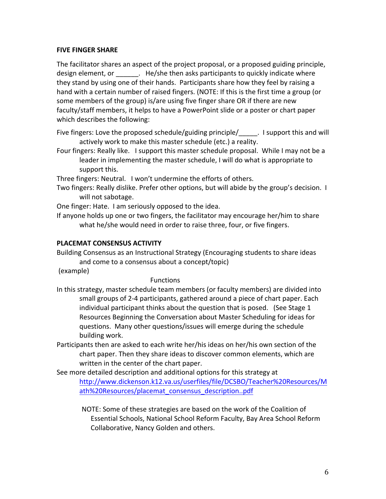### **FIVE FINGER SHARE**

The facilitator shares an aspect of the project proposal, or a proposed guiding principle, design element, or each ele/she then asks participants to quickly indicate where they stand by using one of their hands. Participants share how they feel by raising a hand with a certain number of raised fingers. (NOTE: If this is the first time a group (or some members of the group) is/are using five finger share OR if there are new faculty/staff members, it helps to have a PowerPoint slide or a poster or chart paper which describes the following:

Five fingers: Love the proposed schedule/guiding principle/ $\blacksquare$ . I support this and will actively work to make this master schedule (etc.) a reality.

Four fingers: Really like. I support this master schedule proposal. While I may not be a leader in implementing the master schedule, I will do what is appropriate to support this.

Three fingers: Neutral. I won't undermine the efforts of others.

Two fingers: Really dislike. Prefer other options, but will abide by the group's decision. I will not sabotage.

One finger: Hate. I am seriously opposed to the idea.

If anyone holds up one or two fingers, the facilitator may encourage her/him to share what he/she would need in order to raise three, four, or five fingers.

### PLACEMAT CONSENSUS ACTIVITY

Building Consensus as an Instructional Strategy (Encouraging students to share ideas and come to a consensus about a concept/topic)

(example)\*

### Functions

- In this strategy, master schedule team members (or faculty members) are divided into small groups of 2-4 participants, gathered around a piece of chart paper. Each individual participant thinks about the question that is posed. (See Stage 1 Resources Beginning the Conversation about Master Scheduling for ideas for questions. Many other questions/issues will emerge during the schedule building work.
- Participants then are asked to each write her/his ideas on her/his own section of the chart paper. Then they share ideas to discover common elements, which are written in the center of the chart paper.

See more detailed description and additional options for this strategy at http://www.dickenson.k12.va.us/userfiles/file/DCSBO/Teacher%20Resources/M ath%20Resources/placemat\_consensus\_description..pdf

NOTE: Some of these strategies are based on the work of the Coalition of Essential Schools, National School Reform Faculty, Bay Area School Reform Collaborative, Nancy Golden and others.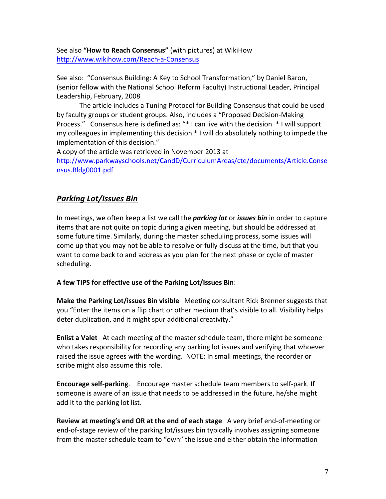See also "How to Reach Consensus" (with pictures) at WikiHow http://www.wikihow.com/Reach-a-Consensus

See also: "Consensus Building: A Key to School Transformation," by Daniel Baron, (senior fellow with the National School Reform Faculty) Instructional Leader, Principal Leadership, February, 2008

The article includes a Tuning Protocol for Building Consensus that could be used by faculty groups or student groups. Also, includes a "Proposed Decision-Making Process." Consensus here is defined as: "\* I can live with the decision \* I will support my colleagues in implementing this decision \* I will do absolutely nothing to impede the implementation of this decision."

A copy of the article was retrieved in November 2013 at

http://www.parkwayschools.net/CandD/CurriculumAreas/cte/documents/Article.Conse nsus.Bldg0001.pdf

## **Parking Lot/Issues Bin**

In meetings, we often keep a list we call the *parking lot* or *issues bin* in order to capture items that are not quite on topic during a given meeting, but should be addressed at some future time. Similarly, during the master scheduling process, some issues will come up that you may not be able to resolve or fully discuss at the time, but that you want to come back to and address as you plan for the next phase or cycle of master scheduling.

### A few TIPS for effective use of the Parking Lot/Issues Bin:

Make the Parking Lot/issues Bin visible Meeting consultant Rick Brenner suggests that you "Enter the items on a flip chart or other medium that's visible to all. Visibility helps deter duplication, and it might spur additional creativity."

**Enlist a Valet** At each meeting of the master schedule team, there might be someone who takes responsibility for recording any parking lot issues and verifying that whoever raised the issue agrees with the wording. NOTE: In small meetings, the recorder or scribe might also assume this role.

Encourage self-parking. Encourage master schedule team members to self-park. If someone is aware of an issue that needs to be addressed in the future, he/she might add it to the parking lot list.

Review at meeting's end OR at the end of each stage A very brief end-of-meeting or end-of-stage review of the parking lot/issues bin typically involves assigning someone from the master schedule team to "own" the issue and either obtain the information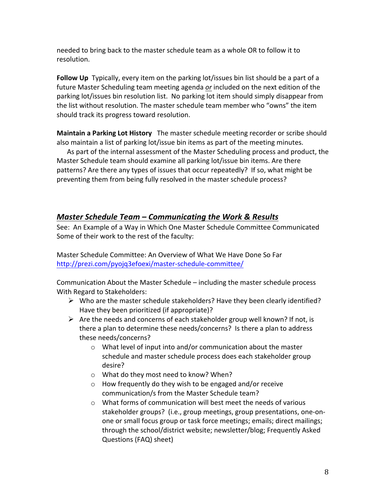needed to bring back to the master schedule team as a whole OR to follow it to resolution.\*

**Follow Up** Typically, every item on the parking lot/issues bin list should be a part of a future Master Scheduling team meeting agenda *or* included on the next edition of the parking lot/issues bin resolution list. No parking lot item should simply disappear from the list without resolution. The master schedule team member who "owns" the item should track its progress toward resolution.

**Maintain a Parking Lot History** The master schedule meeting recorder or scribe should also maintain a list of parking lot/issue bin items as part of the meeting minutes.

As part of the internal assessment of the Master Scheduling process and product, the Master Schedule team should examine all parking lot/issue bin items. Are there patterns? Are there any types of issues that occur repeatedly? If so, what might be preventing them from being fully resolved in the master schedule process?

### *Master Schedule Team – Communicating the Work & Results*

See: An Example of a Way in Which One Master Schedule Committee Communicated Some of their work to the rest of the faculty:

Master Schedule Committee: An Overview of What We Have Done So Far http://prezi.com/pyojq3efoexi/master-schedule-committee/

Communication About the Master Schedule – including the master schedule process With Regard to Stakeholders:

- $\triangleright$  Who are the master schedule stakeholders? Have they been clearly identified? Have they been prioritized (if appropriate)?
- Are the needs and concerns of each stakeholder group well known? If not, is there a plan to determine these needs/concerns? Is there a plan to address these needs/concerns?
	- $\circ$  What level of input into and/or communication about the master schedule and master schedule process does each stakeholder group desire?
	- $\circ$  What do they most need to know? When?
	- $\circ$  How frequently do they wish to be engaged and/or receive communication/s from the Master Schedule team?
	- $\circ$  What forms of communication will best meet the needs of various stakeholder groups? (i.e., group meetings, group presentations, one-onone or small focus group or task force meetings; emails; direct mailings; through the school/district website; newsletter/blog; Frequently Asked Questions (FAQ) sheet)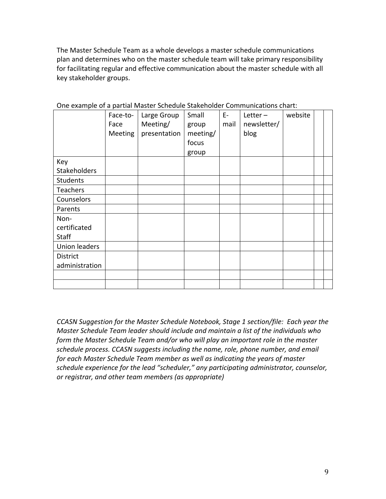The Master Schedule Team as a whole develops a master schedule communications plan and determines who on the master schedule team will take primary responsibility for facilitating regular and effective communication about the master schedule with all key stakeholder groups.

|                      | Face-to-<br>Face<br>Meeting | Large Group<br>Meeting/<br>presentation | Small<br>group<br>meeting/<br>focus<br>group | $E-$<br>mail | Letter $-$<br>newsletter/<br>blog | website |  |
|----------------------|-----------------------------|-----------------------------------------|----------------------------------------------|--------------|-----------------------------------|---------|--|
| Key                  |                             |                                         |                                              |              |                                   |         |  |
| Stakeholders         |                             |                                         |                                              |              |                                   |         |  |
| <b>Students</b>      |                             |                                         |                                              |              |                                   |         |  |
| Teachers             |                             |                                         |                                              |              |                                   |         |  |
| Counselors           |                             |                                         |                                              |              |                                   |         |  |
| Parents              |                             |                                         |                                              |              |                                   |         |  |
| Non-                 |                             |                                         |                                              |              |                                   |         |  |
| certificated         |                             |                                         |                                              |              |                                   |         |  |
| <b>Staff</b>         |                             |                                         |                                              |              |                                   |         |  |
| <b>Union leaders</b> |                             |                                         |                                              |              |                                   |         |  |
| District             |                             |                                         |                                              |              |                                   |         |  |
| administration       |                             |                                         |                                              |              |                                   |         |  |
|                      |                             |                                         |                                              |              |                                   |         |  |
|                      |                             |                                         |                                              |              |                                   |         |  |

One example of a partial Master Schedule Stakeholder Communications chart:

*CCASN Suggestion for the Master Schedule Notebook, Stage 1 section/file: Each year the Master Schedule Team leader should include and maintain a list of the individuals who* form the Master Schedule Team and/or who will play an important role in the master schedule process. CCASN suggests including the name, role, phone number, and email *for each Master Schedule Team member as well as indicating the years of master* schedule experience for the lead "scheduler," any participating administrator, counselor, *or)registrar,)and)other)team)members)(as)appropriate)*